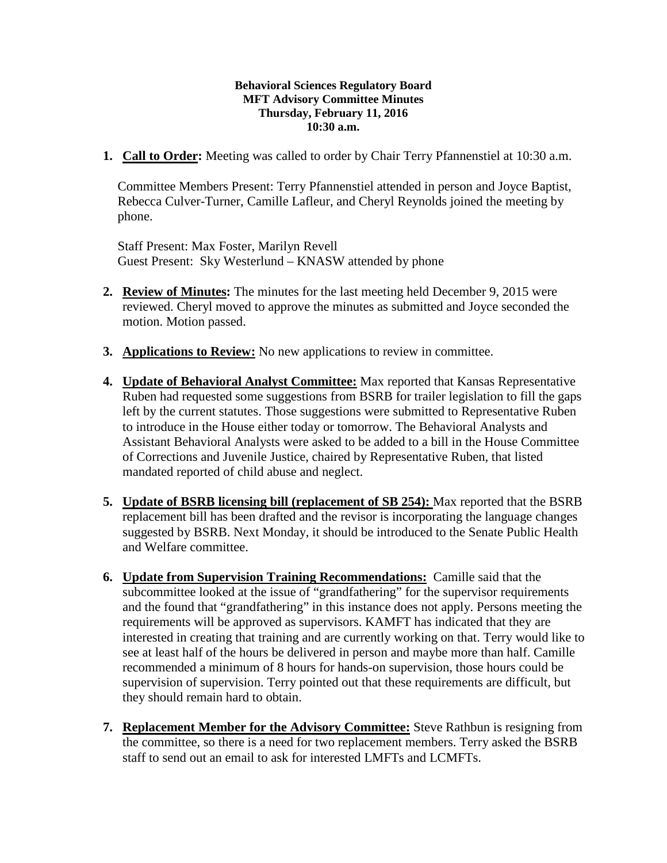## **Behavioral Sciences Regulatory Board MFT Advisory Committee Minutes Thursday, February 11, 2016 10:30 a.m.**

**1. Call to Order:** Meeting was called to order by Chair Terry Pfannenstiel at 10:30 a.m.

Committee Members Present: Terry Pfannenstiel attended in person and Joyce Baptist, Rebecca Culver-Turner, Camille Lafleur, and Cheryl Reynolds joined the meeting by phone.

Staff Present: Max Foster, Marilyn Revell Guest Present: Sky Westerlund – KNASW attended by phone

- **2. Review of Minutes:** The minutes for the last meeting held December 9, 2015 were reviewed. Cheryl moved to approve the minutes as submitted and Joyce seconded the motion. Motion passed.
- **3. Applications to Review:** No new applications to review in committee.
- **4. Update of Behavioral Analyst Committee:** Max reported that Kansas Representative Ruben had requested some suggestions from BSRB for trailer legislation to fill the gaps left by the current statutes. Those suggestions were submitted to Representative Ruben to introduce in the House either today or tomorrow. The Behavioral Analysts and Assistant Behavioral Analysts were asked to be added to a bill in the House Committee of Corrections and Juvenile Justice, chaired by Representative Ruben, that listed mandated reported of child abuse and neglect.
- **5. Update of BSRB licensing bill (replacement of SB 254):** Max reported that the BSRB replacement bill has been drafted and the revisor is incorporating the language changes suggested by BSRB. Next Monday, it should be introduced to the Senate Public Health and Welfare committee.
- **6. Update from Supervision Training Recommendations:** Camille said that the subcommittee looked at the issue of "grandfathering" for the supervisor requirements and the found that "grandfathering" in this instance does not apply. Persons meeting the requirements will be approved as supervisors. KAMFT has indicated that they are interested in creating that training and are currently working on that. Terry would like to see at least half of the hours be delivered in person and maybe more than half. Camille recommended a minimum of 8 hours for hands-on supervision, those hours could be supervision of supervision. Terry pointed out that these requirements are difficult, but they should remain hard to obtain.
- **7. Replacement Member for the Advisory Committee:** Steve Rathbun is resigning from the committee, so there is a need for two replacement members. Terry asked the BSRB staff to send out an email to ask for interested LMFTs and LCMFTs.